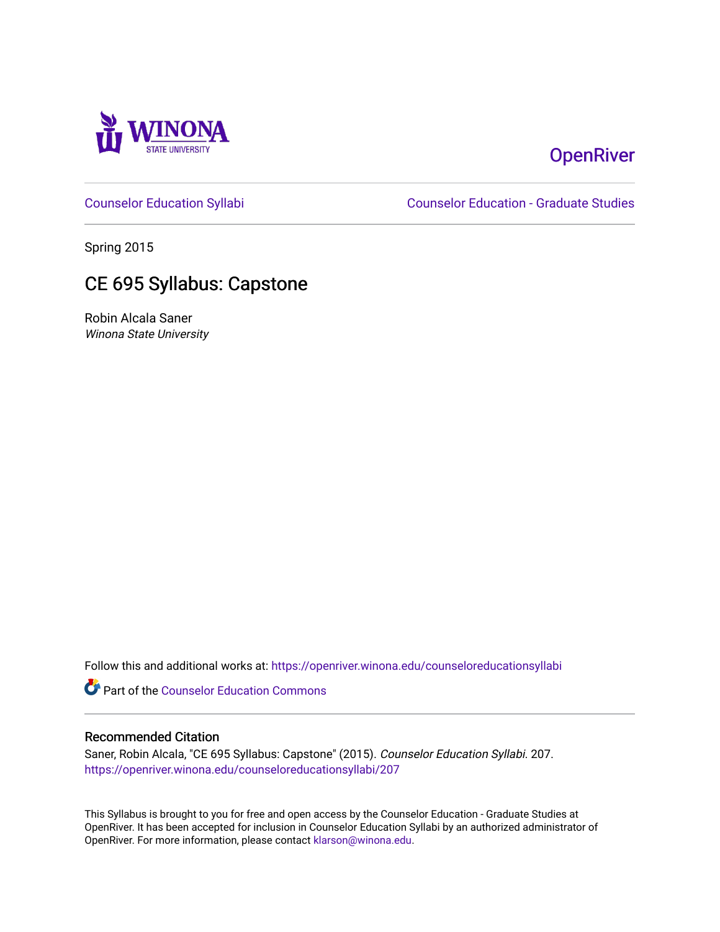

# **OpenRiver**

[Counselor Education Syllabi](https://openriver.winona.edu/counseloreducationsyllabi) [Counselor Education - Graduate Studies](https://openriver.winona.edu/counseloreducation) 

Spring 2015

## CE 695 Syllabus: Capstone

Robin Alcala Saner Winona State University

Follow this and additional works at: [https://openriver.winona.edu/counseloreducationsyllabi](https://openriver.winona.edu/counseloreducationsyllabi?utm_source=openriver.winona.edu%2Fcounseloreducationsyllabi%2F207&utm_medium=PDF&utm_campaign=PDFCoverPages)

Part of the [Counselor Education Commons](http://network.bepress.com/hgg/discipline/1278?utm_source=openriver.winona.edu%2Fcounseloreducationsyllabi%2F207&utm_medium=PDF&utm_campaign=PDFCoverPages) 

#### Recommended Citation

Saner, Robin Alcala, "CE 695 Syllabus: Capstone" (2015). Counselor Education Syllabi. 207. [https://openriver.winona.edu/counseloreducationsyllabi/207](https://openriver.winona.edu/counseloreducationsyllabi/207?utm_source=openriver.winona.edu%2Fcounseloreducationsyllabi%2F207&utm_medium=PDF&utm_campaign=PDFCoverPages)

This Syllabus is brought to you for free and open access by the Counselor Education - Graduate Studies at OpenRiver. It has been accepted for inclusion in Counselor Education Syllabi by an authorized administrator of OpenRiver. For more information, please contact [klarson@winona.edu](mailto:klarson@winona.edu).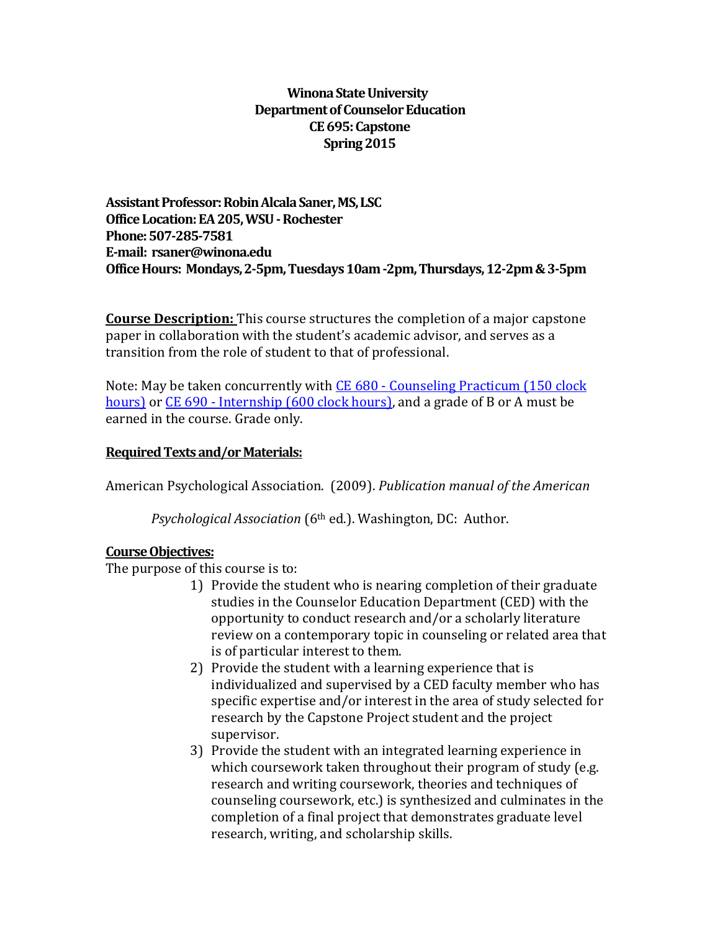## **Winona State University Department of Counselor Education CE695: Capstone Spring 2015**

**Assistant Professor: Robin Alcala Saner, MS, LSC Office Location:EA 205, WSU -Rochester Phone:507-285-7581 E-mail: rsaner@winona.edu Office Hours: Mondays, 2-5pm, Tuesdays 10am -2pm, Thursdays, 12-2pm & 3-5pm**

**Course Description:** This course structures the completion of a major capstone paper in collaboration with the student's academic advisor, and serves as a transition from the role of student to that of professional.

Note: May be taken concurrently with CE 680 - [Counseling Practicum \(150 clock](http://catalog.winona.edu/content.php?catoid=11&navoid=1013%23tt5044)  [hours\)](http://catalog.winona.edu/content.php?catoid=11&navoid=1013%23tt5044) or CE 690 - [Internship \(600 clock](http://catalog.winona.edu/content.php?catoid=11&navoid=1013%23tt8615) hours), and a grade of B or A must be earned in the course. Grade only.

## **Required Texts and/or Materials:**

American Psychological Association. (2009). *Publication manual of the American*

*Psychological Association* (6th ed.). Washington, DC: Author.

#### **Course Objectives:**

The purpose of this course is to:

- 1) Provide the student who is nearing completion of their graduate studies in the Counselor Education Department (CED) with the opportunity to conduct research and/or a scholarly literature review on a contemporary topic in counseling or related area that is of particular interest to them.
- 2) Provide the student with a learning experience that is individualized and supervised by a CED faculty member who has specific expertise and/or interest in the area of study selected for research by the Capstone Project student and the project supervisor.
- 3) Provide the student with an integrated learning experience in which coursework taken throughout their program of study (e.g. research and writing coursework, theories and techniques of counseling coursework, etc.) is synthesized and culminates in the completion of a final project that demonstrates graduate level research, writing, and scholarship skills.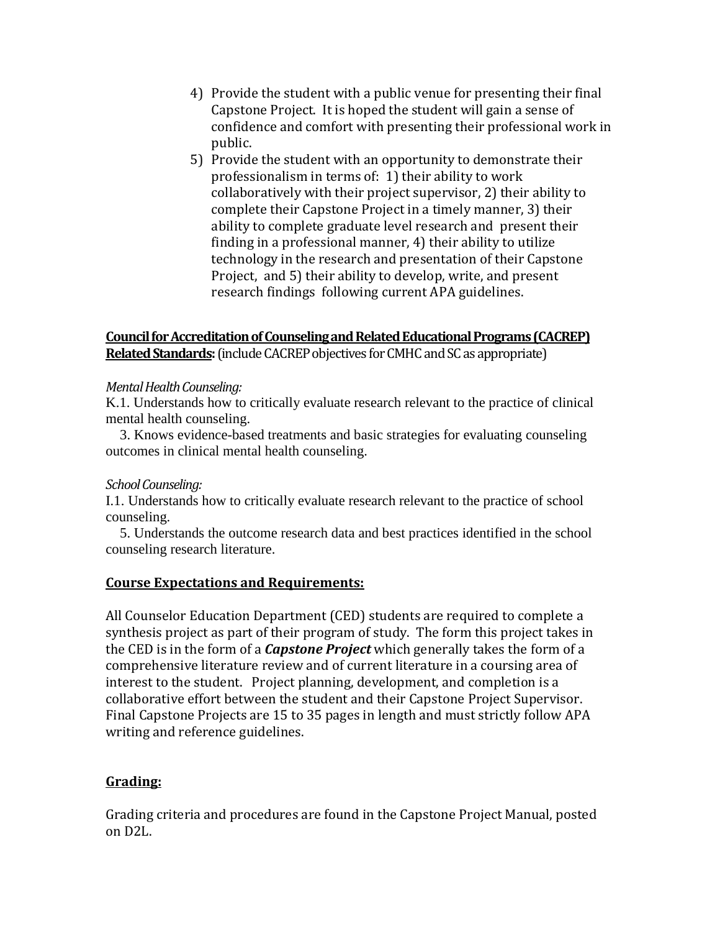- 4) Provide the student with a public venue for presenting their final Capstone Project. It is hoped the student will gain a sense of confidence and comfort with presenting their professional work in public.
- 5) Provide the student with an opportunity to demonstrate their professionalism in terms of: 1) their ability to work collaboratively with their project supervisor, 2) their ability to complete their Capstone Project in a timely manner, 3) their ability to complete graduate level research and present their finding in a professional manner, 4) their ability to utilize technology in the research and presentation of their Capstone Project, and 5) their ability to develop, write, and present research findings following current APA guidelines.

## **Council for Accreditation of Counseling and Related Educational Programs (CACREP) Related Standards:**(include CACREP objectives for CMHC and SC as appropriate)

### *Mental Health Counseling:*

K.1. Understands how to critically evaluate research relevant to the practice of clinical mental health counseling.

 3. Knows evidence-based treatments and basic strategies for evaluating counseling outcomes in clinical mental health counseling.

## *School Counseling:*

I.1. Understands how to critically evaluate research relevant to the practice of school counseling.

 5. Understands the outcome research data and best practices identified in the school counseling research literature.

## **Course Expectations and Requirements:**

All Counselor Education Department (CED) students are required to complete a synthesis project as part of their program of study. The form this project takes in the CED is in the form of a *Capstone Project* which generally takes the form of a comprehensive literature review and of current literature in a coursing area of interest to the student. Project planning, development, and completion is a collaborative effort between the student and their Capstone Project Supervisor. Final Capstone Projects are 15 to 35 pages in length and must strictly follow APA writing and reference guidelines.

## **Grading:**

Grading criteria and procedures are found in the Capstone Project Manual, posted on D2L.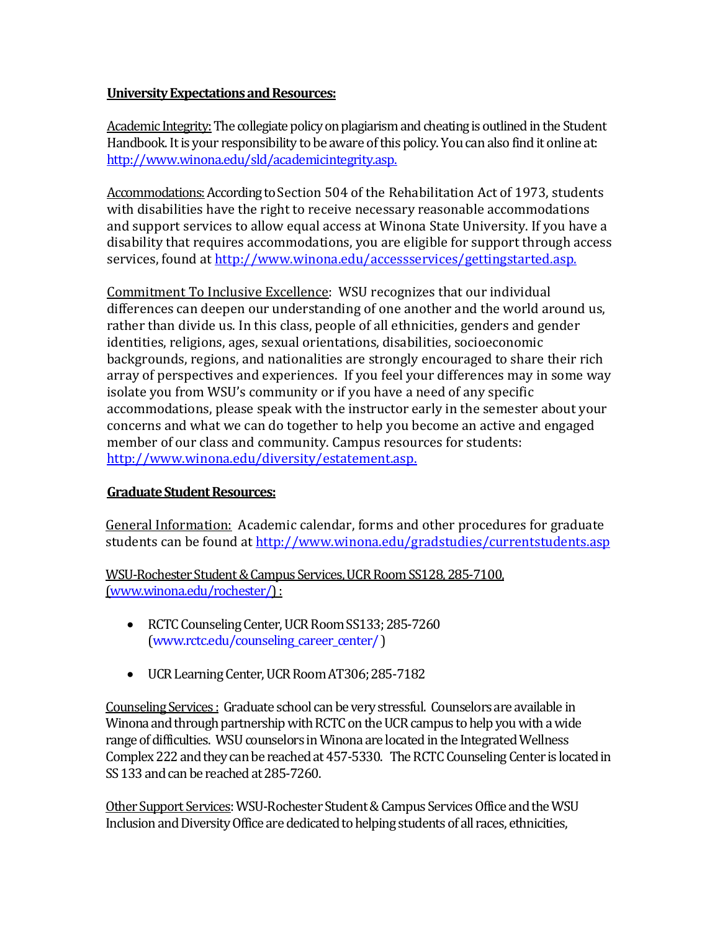## **University Expectations and Resources:**

Academic Integrity:The collegiate policy on plagiarism and cheating is outlined in the Student Handbook. It is your responsibility to be aware of this policy. You can also find it online at: [http://www.winona.edu/sld/academicintegrity.asp.](http://www.winona.edu/sld/academicintegrity.asp)

Accommodations: According to Section 504 of the Rehabilitation Act of 1973, students with disabilities have the right to receive necessary reasonable accommodations and support services to allow equal access at Winona State University. If you have a disability that requires accommodations, you are eligible for support through access services, found at [http://www.winona.edu/accessservices/gettingstarted.asp.](http://www.winona.edu/accessservices/gettingstarted.asp)

Commitment To Inclusive Excellence: WSU recognizes that our individual differences can deepen our understanding of one another and the world around us, rather than divide us. In this class, people of all ethnicities, genders and gender identities, religions, ages, sexual orientations, disabilities, socioeconomic backgrounds, regions, and nationalities are strongly encouraged to share their rich array of perspectives and experiences. If you feel your differences may in some way isolate you from WSU's community or if you have a need of any specific accommodations, please speak with the instructor early in the semester about your concerns and what we can do together to help you become an active and engaged member of our class and community. Campus resources for students: [http://www.winona.edu/diversity/estatement.asp.](http://www.winona.edu/diversity/estatement.asp)

## **Graduate Student Resources:**

General Information: Academic calendar, forms and other procedures for graduate students can be found a[t http://www.winona.edu/gradstudies/currentstudents.asp](http://www.winona.edu/gradstudies/currentstudents.asp)

WSU-Rochester Student & Campus Services, UCR Room SS128, 285-7100, [\(www.winona.edu/rochester/\)](http://www.winona.edu/rochester/) :

- RCTC Counseling Center, UCR Room SS133; 285-7260 [\(www.rctc.edu/counseling\\_career\\_center/](http://www.rctc.edu/counseling_career_center/) )
- UCR Learning Center, UCR Room AT306; 285-7182

Counseling Services : Graduate school can be very stressful. Counselors are available in Winona and through partnership with RCTC on the UCR campus to help you with a wide range of difficulties. WSU counselors in Winona are located in the Integrated Wellness Complex 222 and they can be reached at 457-5330. The RCTC Counseling Center is located in SS 133 and can be reached at 285-7260.

Other Support Services: WSU-Rochester Student & Campus Services Office and the WSU Inclusion and Diversity Office are dedicated to helping students of all races, ethnicities,